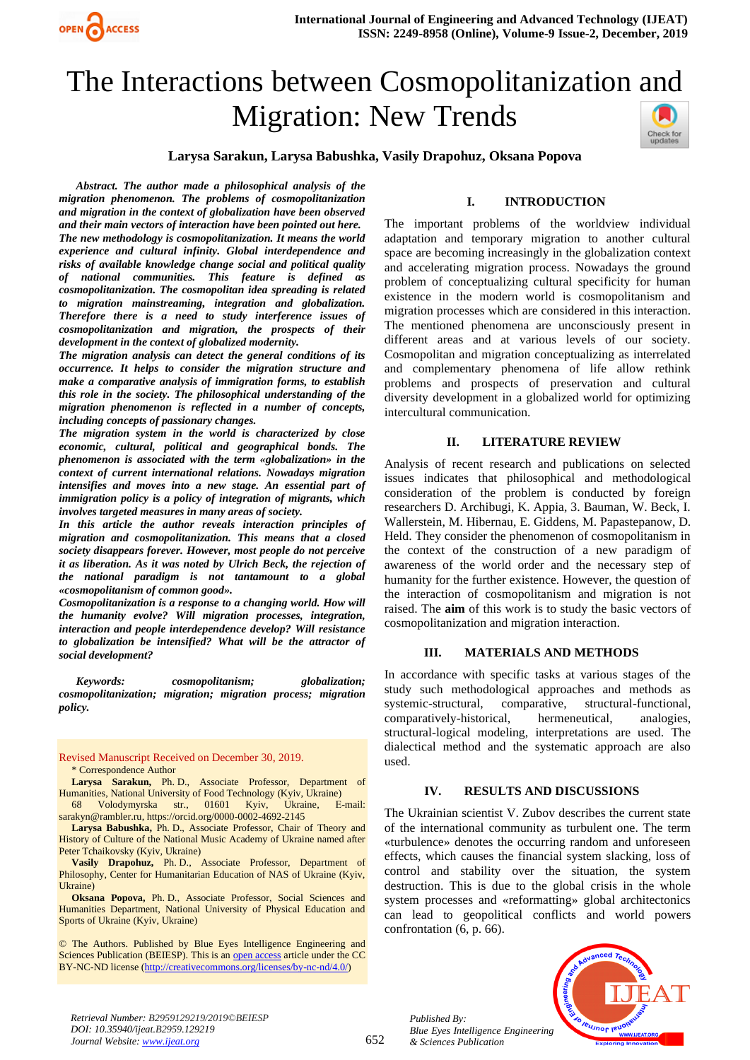

# The Interactions between Cosmopolitanization and Migration: New Trends



## **Larysa Sarakun, Larysa Babushka, Vasily Drapohuz, Oksana Popova**

*Abstract. The author made a philosophical analysis of the migration phenomenon. The problems of cosmopolitanization and migration in the context of globalization have been observed and their main vectors of interaction have been pointed out here. The new methodology is cosmopolitanization. It means the world experience and cultural infinity. Global interdependence and risks of available knowledge change social and political quality of national communities. This feature is defined as cosmopolitanization. The cosmopolitan idea spreading is related to migration mainstreaming, integration and globalization. Therefore there is a need to study interference issues of cosmopolitanization and migration, the prospects of their development in the context of globalized modernity.*

*The migration analysis can detect the general conditions of its occurrence. It helps to consider the migration structure and make a comparative analysis of immigration forms, to establish this role in the society. The philosophical understanding of the migration phenomenon is reflected in a number of concepts, including concepts of passionary changes.*

*The migration system in the world is characterized by close economic, cultural, political and geographical bonds. The phenomenon is associated with the term «globalization» in the context of current international relations. Nowadays migration intensifies and moves into a new stage. An essential part of immigration policy is a policy of integration of migrants, which involves targeted measures in many areas of society.*

*In this article the author reveals interaction principles of migration and cosmopolitanization. This means that a closed society disappears forever. However, most people do not perceive it as liberation. As it was noted by Ulrich Beck, the rejection of the national paradigm is not tantamount to a global «cosmopolitanism of common good».*

*Cosmopolitanization is a response to a changing world. How will the humanity evolve? Will migration processes, integration, interaction and people interdependence develop? Will resistance to globalization be intensified? What will be the attractor of social development?*

*Keywords: cosmopolitanism; globalization; cosmopolitanization; migration; migration process; migration policy.*

Revised Manuscript Received on December 30, 2019. \* Correspondence Author

**Larysa Sarakun,** Ph. D., Associate Professor, Department of Humanities, National University of Food Technology (Kyiv, Ukraine) [68 Volodymyrska str., 01601 Kyiv, Ukraine,](https://goo.gl/Y9izhj) Е-mail:

[sarakyn@rambler.ru,](mailto:sarakyn@rambler.ru) [https://orcid.org/0000-0002-4692-2145](https://mail.rambler.ru/m/redirect?url=https%3A//orcid.org/0000-0002-4692-2145%3Flang%3Den&hash=0743ac8c3615980ea90bf517240e707b) **Larysa Babushka,** Ph. D., Associate Professor, Chair of Theory and History of Culture of the National Music Academy of Ukraine named after Peter Tchaikovsky (Kyiv, Ukraine)

**Vasily Drapohuz,** Ph. D., Associate Professor, Department of Philosophy, Center for Humanitarian Education of NAS of Ukraine (Kyiv, Ukraine)

**Oksana Popova,** Ph. D., Associate Professor, Social Sciences and Humanities Department, National University of Physical Education and Sports of Ukraine (Kyiv, Ukraine)

© The Authors. Published by Blue Eyes Intelligence Engineering and Sciences Publication (BEIESP). This is an [open access](https://www.openaccess.nl/en/open-publications) article under the CC BY-NC-ND license [\(http://creativecommons.org/licenses/by-nc-nd/4.0/\)](http://creativecommons.org/licenses/by-nc-nd/4.0/)

## **I. INTRODUCTION**

The important problems of the worldview individual adaptation and temporary migration to another cultural space are becoming increasingly in the globalization context and accelerating migration process. Nowadays the ground problem of conceptualizing cultural specificity for human existence in the modern world is cosmopolitanism and migration processes which are considered in this interaction. The mentioned phenomena are unconsciously present in different areas and at various levels of our society. Cosmopolitan and migration conceptualizing as interrelated and complementary phenomena of life allow rethink problems and prospects of preservation and cultural diversity development in a globalized world for optimizing intercultural communication.

#### **II. LITERATURE REVIEW**

Analysis of recent research and publications on selected issues indicates that philosophical and methodological consideration of the problem is conducted by foreign researchers D. Archibugi, K. Appia, 3. Bauman, W. Beck, I. Wallerstein, M. Hibernau, E. Giddens, M. Papastepanow, D. Held. They consider the phenomenon of cosmopolitanism in the context of the construction of a new paradigm of awareness of the world order and the necessary step of humanity for the further existence. However, the question of the interaction of cosmopolitanism and migration is not raised. The **aim** of this work is to study the basic vectors of cosmopolitanization and migration interaction.

#### **III. MATERIALS AND METHODS**

In accordance with specific tasks at various stages of the study such methodological approaches and methods as systemic-structural, comparative, structural-functional, comparatively-historical, hermeneutical, analogies, structural-logical modeling, interpretations are used. The dialectical method and the systematic approach are also used.

## **IV. RESULTS AND DISCUSSIONS**

The Ukrainian scientist V. Zubov describes the current state of the international community as turbulent one. The term «turbulence» denotes the occurring random and unforeseen effects, which causes the financial system slacking, loss of control and stability over the situation, the system destruction. This is due to the global crisis in the whole system processes and «reformatting» global architectonics can lead to geopolitical conflicts and world powers confrontation (6, p. 66).



*Retrieval Number: B2959129219/2019©BEIESP DOI: 10.35940/ijeat.B2959.129219 Journal Website[: www.ijeat.org](http://www.ijeat.org/)*

*Published By: Blue Eyes Intelligence Engineering & Sciences Publication*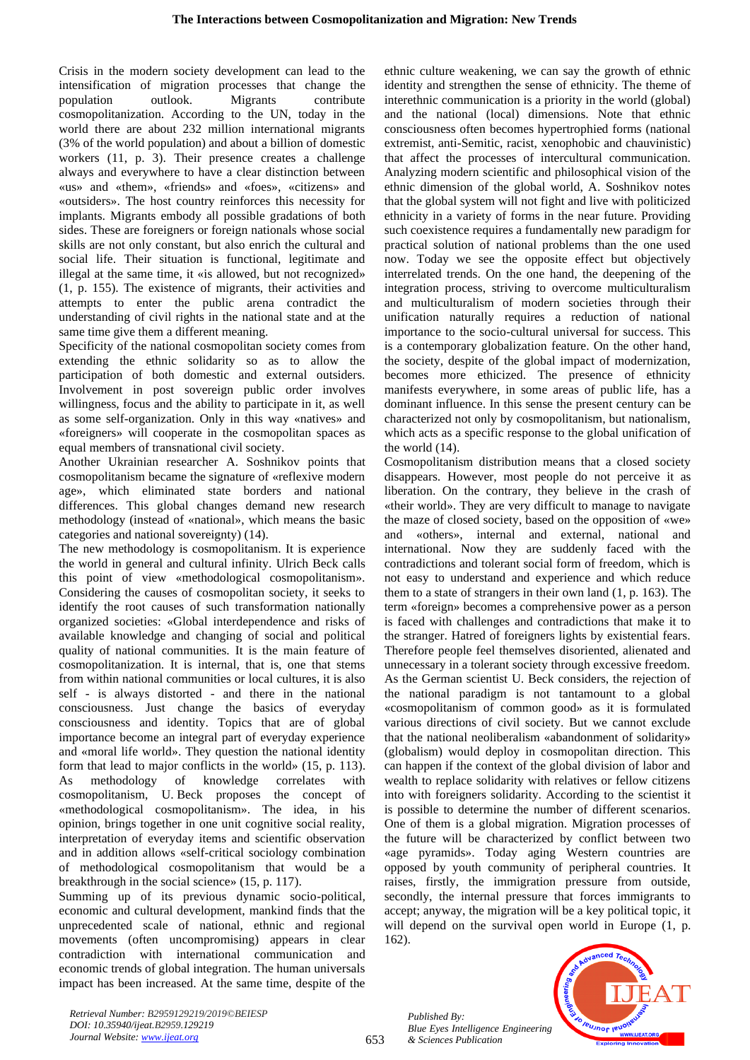Crisis in the modern society development can lead to the intensification of migration processes that change the population outlook. Migrants contribute cosmopolitanization. According to the UN, today in the world there are about 232 million international migrants (3% of the world population) and about a billion of domestic workers (11, p. 3). Their presence creates a challenge always and everywhere to have a clear distinction between «us» and «them», «friends» and «foes», «citizens» and «outsiders». The host country reinforces this necessity for implants. Migrants embody all possible gradations of both sides. These are foreigners or foreign nationals whose social skills are not only constant, but also enrich the cultural and social life. Their situation is functional, legitimate and illegal at the same time, it «is allowed, but not recognized» (1, p. 155). The existence of migrants, their activities and attempts to enter the public arena contradict the understanding of civil rights in the national state and at the same time give them a different meaning.

Specificity of the national cosmopolitan society comes from extending the ethnic solidarity so as to allow the participation of both domestic and external outsiders. Involvement in post sovereign public order involves willingness, focus and the ability to participate in it, as well as some self-organization. Only in this way «natives» and «foreigners» will cooperate in the cosmopolitan spaces as equal members of transnational civil society.

Another Ukrainian researcher A. Soshnikov points that cosmopolitanism became the signature of «reflexive modern age», which eliminated state borders and national differences. This global changes demand new research methodology (instead of «national», which means the basic categories and national sovereignty) (14).

The new methodology is cosmopolitanism. It is experience the world in general and cultural infinity. Ulrich Beck calls this point of view «methodological cosmopolitanism». Considering the causes of cosmopolitan society, it seeks to identify the root causes of such transformation nationally organized societies: «Global interdependence and risks of available knowledge and changing of social and political quality of national communities. It is the main feature of cosmopolitanization. It is internal, that is, one that stems from within national communities or local cultures, it is also self - is always distorted - and there in the national consciousness. Just change the basics of everyday consciousness and identity. Topics that are of global importance become an integral part of everyday experience and «moral life world». They question the national identity form that lead to major conflicts in the world» (15, p. 113). As methodology of knowledge correlates with cosmopolitanism, U. Beck proposes the concept of «methodological cosmopolitanism». The idea, in his opinion, brings together in one unit cognitive social reality, interpretation of everyday items and scientific observation and in addition allows «self-critical sociology combination of methodological cosmopolitanism that would be a breakthrough in the social science» (15, p. 117).

Summing up of its previous dynamic socio-political, economic and cultural development, mankind finds that the unprecedented scale of national, ethnic and regional movements (often uncompromising) appears in clear contradiction with international communication and economic trends of global integration. The human universals impact has been increased. At the same time, despite of the ethnic culture weakening, we can say the growth of ethnic identity and strengthen the sense of ethnicity. The theme of interethnic communication is a priority in the world (global) and the national (local) dimensions. Note that ethnic consciousness often becomes hypertrophied forms (national extremist, anti-Semitic, racist, xenophobic and chauvinistic) that affect the processes of intercultural communication. Analyzing modern scientific and philosophical vision of the ethnic dimension of the global world, A. Soshnikov notes that the global system will not fight and live with politicized ethnicity in a variety of forms in the near future. Providing such coexistence requires a fundamentally new paradigm for practical solution of national problems than the one used now. Today we see the opposite effect but objectively interrelated trends. On the one hand, the deepening of the integration process, striving to overcome multiculturalism and multiculturalism of modern societies through their unification naturally requires a reduction of national importance to the socio-cultural universal for success. This is a contemporary globalization feature. On the other hand, the society, despite of the global impact of modernization, becomes more ethicized. The presence of ethnicity manifests everywhere, in some areas of public life, has a dominant influence. In this sense the present century can be characterized not only by cosmopolitanism, but nationalism, which acts as a specific response to the global unification of the world (14).

Cosmopolitanism distribution means that a closed society disappears. However, most people do not perceive it as liberation. On the contrary, they believe in the crash of «their world». They are very difficult to manage to navigate the maze of closed society, based on the opposition of «we» and «others», internal and external, national and international. Now they are suddenly faced with the contradictions and tolerant social form of freedom, which is not easy to understand and experience and which reduce them to a state of strangers in their own land (1, p. 163). The term «foreign» becomes a comprehensive power as a person is faced with challenges and contradictions that make it to the stranger. Hatred of foreigners lights by existential fears. Therefore people feel themselves disoriented, alienated and unnecessary in a tolerant society through excessive freedom. As the German scientist U. Beck considers, the rejection of the national paradigm is not tantamount to a global «cosmopolitanism of common good» as it is formulated various directions of civil society. But we cannot exclude that the national neoliberalism «abandonment of solidarity» (globalism) would deploy in cosmopolitan direction. This can happen if the context of the global division of labor and wealth to replace solidarity with relatives or fellow citizens into with foreigners solidarity. According to the scientist it is possible to determine the number of different scenarios. One of them is a global migration. Migration processes of the future will be characterized by conflict between two «age pyramids». Today aging Western countries are opposed by youth community of peripheral countries. It raises, firstly, the immigration pressure from outside, secondly, the internal pressure that forces immigrants to accept; anyway, the migration will be a key political topic, it will depend on the survival open world in Europe  $(1, p)$ . 162).

*Published By: Blue Eyes Intelligence Engineering & Sciences Publication* 



*Retrieval Number: B2959129219/2019©BEIESP DOI: 10.35940/ijeat.B2959.129219 Journal Website[: www.ijeat.org](http://www.ijeat.org/)*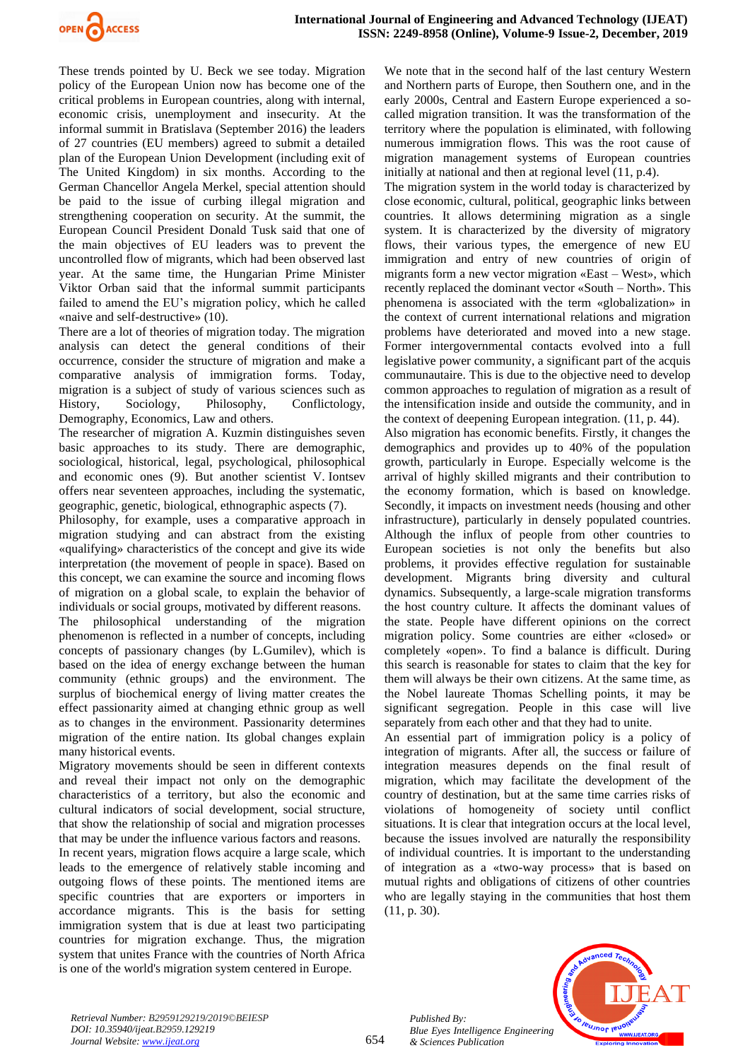

These trends pointed by U. Beck we see today. Migration policy of the European Union now has become one of the critical problems in European countries, along with internal, economic crisis, unemployment and insecurity. At the informal summit in Bratislava (September 2016) the leaders of 27 countries (EU members) agreed to submit a detailed plan of the European Union Development (including exit of The United Kingdom) in six months. According to the German Chancellor Angela Merkel, special attention should be paid to the issue of curbing illegal migration and strengthening cooperation on security. At the summit, the European Council President Donald Tusk said that one of the main objectives of EU leaders was to prevent the uncontrolled flow of migrants, which had been observed last year. At the same time, the Hungarian Prime Minister Viktor Orban said that the informal summit participants failed to amend the EU's migration policy, which he called «naive and self-destructive» (10).

There are a lot of theories of migration today. The migration analysis can detect the general conditions of their occurrence, consider the structure of migration and make a comparative analysis of immigration forms. Today, migration is a subject of study of various sciences such as History, Sociology, Philosophy, Conflictology, Demography, Economics, Law and others.

The researcher of migration A. Kuzmin distinguishes seven basic approaches to its study. There are demographic, sociological, historical, legal, psychological, philosophical and economic ones (9). But another scientist V. Iontsev offers near seventeen approaches, including the systematic, geographic, genetic, biological, ethnographic aspects (7).

Philosophy, for example, uses a comparative approach in migration studying and can abstract from the existing «qualifying» characteristics of the concept and give its wide interpretation (the movement of people in space). Based on this concept, we can examine the source and incoming flows of migration on a global scale, to explain the behavior of individuals or social groups, motivated by different reasons. The philosophical understanding of the migration phenomenon is reflected in a number of concepts, including concepts of passionary changes (by L.Gumilev), which is based on the idea of energy exchange between the human community (ethnic groups) and the environment. The surplus of biochemical energy of living matter creates the effect passionarity aimed at changing ethnic group as well as to changes in the environment. Passionarity determines migration of the entire nation. Its global changes explain many historical events.

Migratory movements should be seen in different contexts and reveal their impact not only on the demographic characteristics of a territory, but also the economic and cultural indicators of social development, social structure, that show the relationship of social and migration processes that may be under the influence various factors and reasons. In recent years, migration flows acquire a large scale, which leads to the emergence of relatively stable incoming and outgoing flows of these points. The mentioned items are specific countries that are exporters or importers in accordance migrants. This is the basis for setting immigration system that is due at least two participating countries for migration exchange. Thus, the migration system that unites France with the countries of North Africa is one of the world's migration system centered in Europe.

We note that in the second half of the last century Western and Northern parts of Europe, then Southern one, and in the early 2000s, Central and Eastern Europe experienced a socalled migration transition. It was the transformation of the territory where the population is eliminated, with following numerous immigration flows. This was the root cause of migration management systems of European countries initially at national and then at regional level (11, p.4).

The migration system in the world today is characterized by close economic, cultural, political, geographic links between countries. It allows determining migration as a single system. It is characterized by the diversity of migratory flows, their various types, the emergence of new EU immigration and entry of new countries of origin of migrants form a new vector migration «East – West», which recently replaced the dominant vector «South – North». This phenomena is associated with the term «globalization» in the context of current international relations and migration problems have deteriorated and moved into a new stage. Former intergovernmental contacts evolved into a full legislative power community, a significant part of the acquis communautaire. This is due to the objective need to develop common approaches to regulation of migration as a result of the intensification inside and outside the community, and in the context of deepening European integration. (11, p. 44).

Also migration has economic benefits. Firstly, it changes the demographics and provides up to 40% of the population growth, particularly in Europe. Especially welcome is the arrival of highly skilled migrants and their contribution to the economy formation, which is based on knowledge. Secondly, it impacts on investment needs (housing and other infrastructure), particularly in densely populated countries. Although the influx of people from other countries to European societies is not only the benefits but also problems, it provides effective regulation for sustainable development. Migrants bring diversity and cultural dynamics. Subsequently, a large-scale migration transforms the host country culture. It affects the dominant values of the state. People have different opinions on the correct migration policy. Some countries are either «closed» or completely «open». To find a balance is difficult. During this search is reasonable for states to claim that the key for them will always be their own citizens. At the same time, as the Nobel laureate Thomas Schelling points, it may be significant segregation. People in this case will live separately from each other and that they had to unite.

An essential part of immigration policy is a policy of integration of migrants. After all, the success or failure of integration measures depends on the final result of migration, which may facilitate the development of the country of destination, but at the same time carries risks of violations of homogeneity of society until conflict situations. It is clear that integration occurs at the local level, because the issues involved are naturally the responsibility of individual countries. It is important to the understanding of integration as a «two-way process» that is based on mutual rights and obligations of citizens of other countries who are legally staying in the communities that host them (11, p. 30).



*Retrieval Number: B2959129219/2019©BEIESP DOI: 10.35940/ijeat.B2959.129219 Journal Website[: www.ijeat.org](http://www.ijeat.org/)*

*Published By:*

*& Sciences Publication*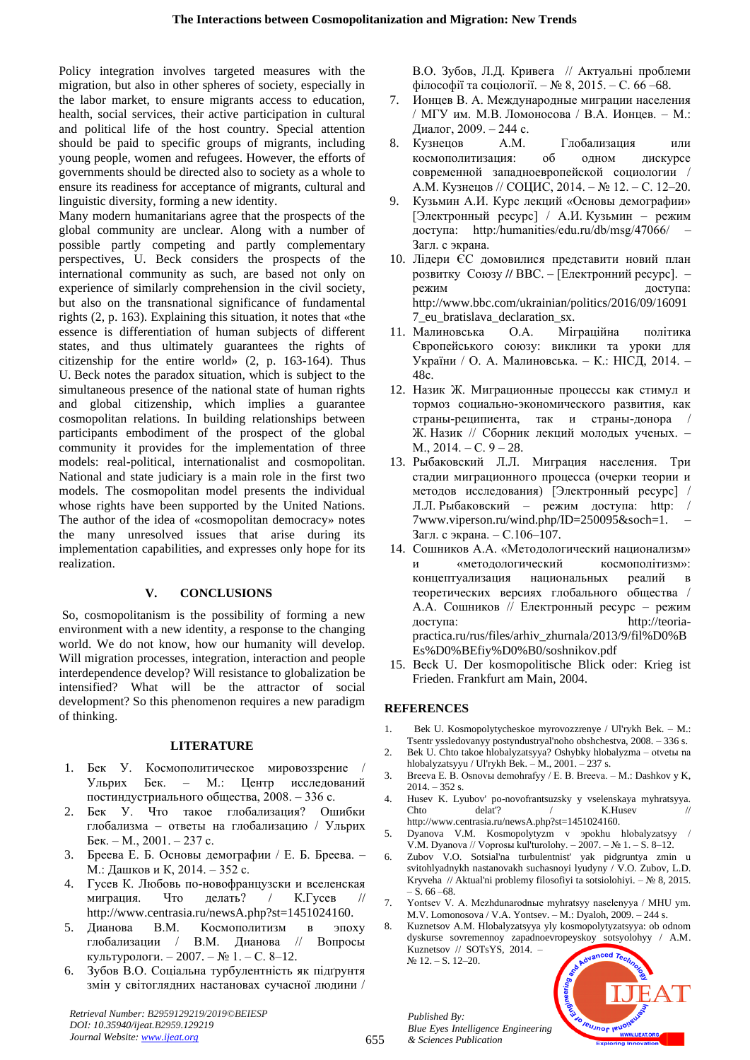Policy integration involves targeted measures with the migration, but also in other spheres of society, especially in the labor market, to ensure migrants access to education, health, social services, their active participation in cultural and political life of the host country. Special attention should be paid to specific groups of migrants, including young people, women and refugees. However, the efforts of governments should be directed also to society as a whole to ensure its readiness for acceptance of migrants, cultural and linguistic diversity, forming a new identity.

Many modern humanitarians agree that the prospects of the global community are unclear. Along with a number of possible partly competing and partly complementary perspectives, U. Beck considers the prospects of the international community as such, are based not only on experience of similarly comprehension in the civil society, but also on the transnational significance of fundamental rights (2, p. 163). Explaining this situation, it notes that «the essence is differentiation of human subjects of different states, and thus ultimately guarantees the rights of citizenship for the entire world» (2, p. 163-164). Thus U. Beck notes the paradox situation, which is subject to the simultaneous presence of the national state of human rights and global citizenship, which implies a guarantee cosmopolitan relations. In building relationships between participants embodiment of the prospect of the global community it provides for the implementation of three models: real-political, internationalist and cosmopolitan. National and state judiciary is a main role in the first two models. The cosmopolitan model presents the individual whose rights have been supported by the United Nations. The author of the idea of «cosmopolitan democracy» notes the many unresolved issues that arise during its implementation capabilities, and expresses only hope for its realization.

# **V. CONCLUSIONS**

So, cosmopolitanism is the possibility of forming a new environment with a new identity, a response to the changing world. We do not know, how our humanity will develop. Will migration processes, integration, interaction and people interdependence develop? Will resistance to globalization be intensified? What will be the attractor of social development? So this phenomenon requires a new paradigm of thinking.

## **LITERATURE**

- 1. Бек У. Космополитическое мировоззрение / Ульрих Бек. – М.: Центр исследований постиндустриального общества, 2008. – 336 с.
- 2. Бек У. Что такое глобализация? Ошибки глобализма – ответы на глобализацию / Ульрих Бек. – М., 2001. – 237 с.
- 3. Бреева Е. Б. Основы демографии / Е. Б. Бреева. М.: Дашков и К, 2014. – 352 с.
- 4. Гусев К. Любовь по-новофранцузски и вселенская миграция. Что делать? / К.Гусев [http://www.centrasia.ru/newsA.php?st=1451024160.](http://www.centrasia.ru/newsA.php?st=1451024160)
- 5. Дианова В.М. Космополитизм в эпоху глобализации / В.М. Дианова // Вопросы культурологи. – 2007. – № 1. – С. 8–12.
- 6. Зубов В.О. Соціальна турбулентність як підґрунтя змін у світоглядних настановах сучасної людини /

*Retrieval Number: B2959129219/2019©BEIESP DOI: 10.35940/ijeat.B2959.129219 Journal Website[: www.ijeat.org](http://www.ijeat.org/)*

В.О. Зубов, Л.Д. Кривега // Актуальні проблеми філософії та соціології. – № 8, 2015. – С. 66 –68.

- 7. Ионцев В. А. Международные миграции населения / МГУ им. М.В. Ломоносова / В.А. Ионцев. – М.: Диалог, 2009. – 244 с.
- 8. Кузнецов А.М. Глобализация или космополитизация: об одном дискурсе современной западноевропейской социологии / А.М. Кузнецов // СОЦИС, 2014. – № 12. – С. 12–20.
- 9. Кузьмин А.И. Курс лекций «Основы демографии» [Электронный ресурс] / А.И. Кузьмин – режим доступа: http:/humanities/edu.ru/db/msg/47066/ – Загл. с экрана.
- 10. Лідери ЄС домовилися представити новий план розвитку Союзу **//** ВВС. – [Електронний ресурс]. – режим доступа: [http://www.bbc.com/ukrainian/politics/](http://www.bbc.com/ukrainian/politics)2016/09/16091 7\_eu\_bratislava\_declaration\_sx.
- 11. Малиновська О.А. Міграційна політика Європейського союзу: виклики та уроки для України / О. А. Малиновська. – К.: НІСД, 2014. – 48с.
- 12. Назик Ж. Миграционные процессы как стимул и тормоз социально-экономического развития, как страны-реципиента, так и страны-донора / Ж. Назик // Сборник лекций молодых ученых. – М., 2014. – С. 9 – 28.
- 13. Рыбаковский Л.Л. Миграция населения. Три стадии миграционного процесса (очерки теории и методов исследования) [Электронный ресурс] / Л.Л. Рыбаковский – режим доступа: http: / 7www.viperson.ru/wind.php/ID=250095&soch=1. – Загл. с экрана. – С.106–107.
- 14. Сошников А.А. «Методологический национализм» и «методологический космополітизм»: концептуализация национальных реалий в теоретических версиях глобального общества / А.А. Сошников // Електронный ресурс – режим доступа: [http://teoria](https://mail.rambler.ru/m/redirect?url=http%3A//teoria-practica.ru/rus/files/arhiv_zhurnala/2013/9/fil%25D0%25BEs%25D0%25BEfiy%25D0%25B0/soshnikov.pdf&hash=2eb9d7537b678f160d340466aec11cb9)[practica.ru/rus/files/arhiv\\_zhurnala/2013/9/fil%D0%B](https://mail.rambler.ru/m/redirect?url=http%3A//teoria-practica.ru/rus/files/arhiv_zhurnala/2013/9/fil%25D0%25BEs%25D0%25BEfiy%25D0%25B0/soshnikov.pdf&hash=2eb9d7537b678f160d340466aec11cb9) [Es%D0%BEfiy%D0%B0/soshnikov.pdf](https://mail.rambler.ru/m/redirect?url=http%3A//teoria-practica.ru/rus/files/arhiv_zhurnala/2013/9/fil%25D0%25BEs%25D0%25BEfiy%25D0%25B0/soshnikov.pdf&hash=2eb9d7537b678f160d340466aec11cb9)
- 15. Beсk U. Der kosmopolitische Blick oder: Krieg ist Frieden. Frankfurt am Main, 2004.

# **REFERENCES**

- 1. Bek U. Kosmopolytycheskoe myrovozzrenye / Ul'rykh Bek. M.: Tsentr yssledovanyy postyndustryal'noho obshchestva, 2008. – 336 s.
- 2. Bek U. Chto takoe hlobalyzatsyya? Oshybky hlobalyzma otvetы na hlobalyzatsyyu / Ul'rykh Bek. – M., 2001. – 237 s.
- 3. Breeva E. B. Osnovы demohrafyy / E. B. Breeva. M.: Dashkov y K,  $2014. - 352$  s.
- 4. Husev K. Lyubov' po-novofrantsuzsky y vselenskaya myhratsyya. Chto delat'? / K.Husev // http://www.centrasia.ru/newsA.php?st=1451024160.
- 5. Dyanova V.M. Kosmopolytyzm v эpokhu hlobalyzatsyy / V.M. Dyanova // Voprosы kul'turolohy. – 2007. – № 1. – S. 8–12.
- 6. Zubov V.O. Sotsial'na turbulentnist' yak pidgruntya zmin u svitohlyadnykh nastanovakh suchasnoyi lyudyny / V.O. Zubov, L.D. Kryveha // Aktual'ni problemy filosofiyi ta sotsiolohiyi. – № 8, 2015.  $- S. 66 - 68.$
- 7. Yontsev V. A. Mezhdunarodnыe myhratsyy naselenyya / MHU ym. M.V. Lomonosova / V.A. Yontsev. – M.: Dyaloh, 2009. – 244 s.
- 8. Kuznetsov A.M. Hlobalyzatsyya yly kosmopolytyzatsyya: ob odnom dyskurse sovremennoy zapadnoevropeyskoy sotsyolohyy / A.M. Kuznetsov // SOTsYS, 2014. – № 12. – S. 12–20.

leusnor leu



655